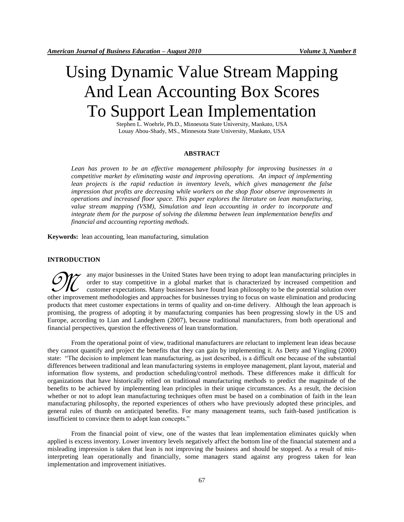# Using Dynamic Value Stream Mapping And Lean Accounting Box Scores To Support Lean Implementation

Stephen L. Woehrle, Ph.D., Minnesota State University, Mankato, USA Louay Abou-Shady, MS., Minnesota State University, Mankato, [USA](mailto:louay.abou-shady@mnsu.edu)

## **ABSTRACT**

*Lean has proven to be an effective management philosophy for improving businesses in a competitive market by eliminating waste and improving operations. An impact of implementing lean projects is the rapid reduction in inventory levels, which gives management the false impression that profits are decreasing while workers on the shop floor observe improvements in operations and increased floor space. This paper explores the literature on lean manufacturing, value stream mapping (VSM), Simulation and lean accounting in order to incorporate and integrate them for the purpose of solving the dilemma between lean implementation benefits and financial and accounting reporting methods.*

**Keywords:** lean accounting, lean manufacturing, simulation

#### **INTRODUCTION**

any major businesses in the United States have been trying to adopt lean manufacturing principles in order to stay competitive in a global market that is characterized by increased competition and customer expectations. Many businesses have found lean philosophy to be the potential solution over other improvement methodologies and approaches for businesses trying to focus on waste elimination and producing products that meet customer expectations in terms of quality and on-time delivery. Although the lean approach is promising, the progress of adopting it by manufacturing companies has been progressing slowly in the US and Europe, according to Lian and Landeghem (2007), because traditional manufacturers, from both operational and financial perspectives, question the effectiveness of lean transformation.  $\mathscr{D\!l\!C}$ 

From the operational point of view, traditional manufacturers are reluctant to implement lean ideas because they cannot quantify and project the benefits that they can gain by implementing it. As Detty and Yingling (2000) state: "The decision to implement lean manufacturing, as just described, is a difficult one because of the substantial differences between traditional and lean manufacturing systems in employee management, plant layout, material and information flow systems, and production scheduling/control methods. These differences make it difficult for organizations that have historically relied on traditional manufacturing methods to predict the magnitude of the benefits to be achieved by implementing lean principles in their unique circumstances. As a result, the decision whether or not to adopt lean manufacturing techniques often must be based on a combination of faith in the lean manufacturing philosophy, the reported experiences of others who have previously adopted these principles, and general rules of thumb on anticipated benefits. For many management teams, such faith-based justification is insufficient to convince them to adopt lean concepts."

From the financial point of view, one of the wastes that lean implementation eliminates quickly when applied is excess inventory. Lower inventory levels negatively affect the bottom line of the financial statement and a misleading impression is taken that lean is not improving the business and should be stopped. As a result of misinterpreting lean operationally and financially, some managers stand against any progress taken for lean implementation and improvement initiatives.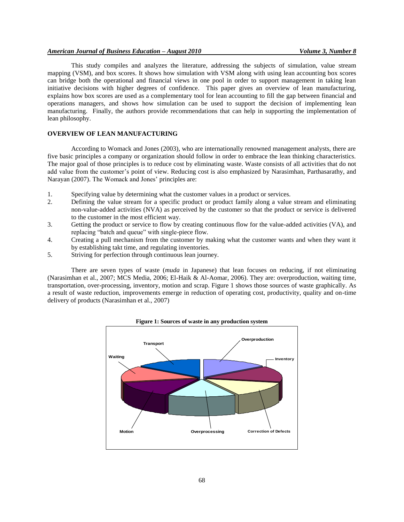## *American Journal of Business Education – August 2010 Volume 3, Number 8*

This study compiles and analyzes the literature, addressing the subjects of simulation, value stream mapping (VSM), and box scores. It shows how simulation with VSM along with using lean accounting box scores can bridge both the operational and financial views in one pool in order to support management in taking lean initiative decisions with higher degrees of confidence. This paper gives an overview of lean manufacturing, explains how box scores are used as a complementary tool for lean accounting to fill the gap between financial and operations managers, and shows how simulation can be used to support the decision of implementing lean manufacturing. Finally, the authors provide recommendations that can help in supporting the implementation of lean philosophy.

## **OVERVIEW OF LEAN MANUFACTURING**

According to Womack and Jones (2003), who are internationally renowned management analysts, there are five basic principles a company or organization should follow in order to embrace the lean thinking characteristics. The major goal of those principles is to reduce cost by eliminating waste. Waste consists of all activities that do not add value from the customer's point of view. Reducing cost is also emphasized by Narasimhan, Parthasarathy, and Narayan (2007). The Womack and Jones' principles are:

- 1. Specifying value by determining what the customer values in a product or services.
- 2. Defining the value stream for a specific product or product family along a value stream and eliminating non-value-added activities (NVA) as perceived by the customer so that the product or service is delivered to the customer in the most efficient way.
- 3. Getting the product or service to flow by creating continuous flow for the value-added activities (VA), and replacing "batch and queue" with single-piece flow.
- 4. Creating a pull mechanism from the customer by making what the customer wants and when they want it by establishing takt time, and regulating inventories.
- 5. Striving for perfection through continuous lean journey.

There are seven types of waste (*muda* in Japanese) that lean focuses on reducing, if not eliminating (Narasimhan et al., 2007; MCS Media, 2006; El-Haik & Al-Aomar, 2006). They are: overproduction, waiting time, transportation, over-processing, inventory, motion and scrap. Figure 1 shows those sources of waste graphically. As a result of waste reduction, improvements emerge in reduction of operating cost, productivity, quality and on-time delivery of products (Narasimhan et al., 2007)



#### **Figure 1: Sources of waste in any production system**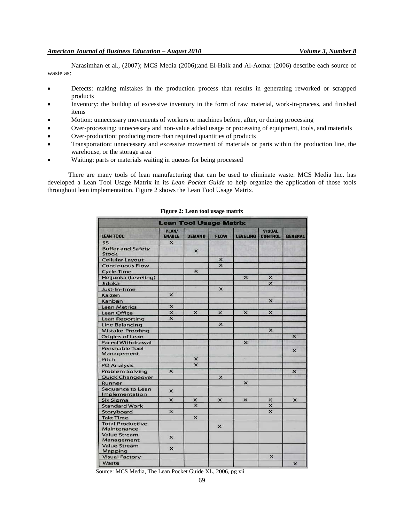Narasimhan et al., (2007); MCS Media (2006);and El-Haik and Al-Aomar (2006) describe each source of waste as:

- Defects: making mistakes in the production process that results in generating reworked or scrapped products
- Inventory: the buildup of excessive inventory in the form of raw material, work-in-process, and finished items
- Motion: unnecessary movements of workers or machines before, after, or during processing
- Over-processing: unnecessary and non-value added usage or processing of equipment, tools, and materials
- Over-production: producing more than required quantities of products
- Transportation: unnecessary and excessive movement of materials or parts within the production line, the warehouse, or the storage area
- Waiting: parts or materials waiting in queues for being processed

There are many tools of lean manufacturing that can be used to eliminate waste. MCS Media Inc. has developed a Lean Tool Usage Matrix in its *Lean Pocket Guide* to help organize the application of those tools throughout lean implementation. Figure 2 shows the Lean Tool Usage Matrix.

| <b>Lean Tool Usage Matrix</b>            |                           |                           |                           |                 |                                 |                           |  |
|------------------------------------------|---------------------------|---------------------------|---------------------------|-----------------|---------------------------------|---------------------------|--|
| <b>LEAN TOOL</b>                         | PLAN/<br><b>ENABLE</b>    | <b>DEMAND</b>             | <b>FLOW</b>               | <b>LEVELING</b> | <b>VISUAL</b><br><b>CONTROL</b> | <b>GENERAL</b>            |  |
| <b>5S</b>                                | $\boldsymbol{\mathsf{x}}$ |                           |                           |                 |                                 |                           |  |
| <b>Buffer and Safety</b><br><b>Stock</b> |                           | $\times$                  |                           |                 |                                 |                           |  |
| <b>Cellular Layout</b>                   |                           |                           | $\times$                  |                 |                                 |                           |  |
| <b>Continuous Flow</b>                   |                           |                           | $\overline{\mathsf{x}}$   |                 |                                 |                           |  |
| <b>Cycle Time</b>                        |                           | $\mathsf{x}$              |                           |                 |                                 |                           |  |
| Heijunka (Leveling)                      |                           |                           |                           | $\pmb{\times}$  | X                               |                           |  |
| Jidoka                                   |                           |                           |                           |                 | $\overline{\mathbf{x}}$         |                           |  |
| Just-In-Time                             |                           |                           | $\overline{\mathsf{x}}$   |                 |                                 |                           |  |
| Kaizen                                   | $\mathsf{x}$              |                           |                           |                 |                                 |                           |  |
| Kanban                                   |                           |                           |                           |                 | ×                               |                           |  |
| <b>Lean Metrics</b>                      | $\overline{\mathsf{x}}$   |                           |                           |                 |                                 |                           |  |
| Lean Office                              | $\times$                  | $\mathsf{x}$              | $\times$                  | $\mathsf{x}$    | $\boldsymbol{\mathsf{x}}$       |                           |  |
| <b>Lean Reporting</b>                    | $\overline{\mathsf{x}}$   |                           |                           |                 |                                 |                           |  |
| <b>Line Balancing</b>                    |                           |                           | $\times$                  |                 |                                 |                           |  |
| Mistake-Proofing                         |                           |                           |                           |                 | $\overline{\mathsf{x}}$         |                           |  |
| Origins of Lean                          |                           |                           |                           |                 |                                 | $\mathsf{x}$              |  |
| <b>Paced Withdrawal</b>                  |                           |                           |                           | $\mathsf{x}$    |                                 |                           |  |
| <b>Perishable Tool</b>                   |                           |                           |                           |                 |                                 | $\mathsf{x}$              |  |
| Management                               |                           |                           |                           |                 |                                 |                           |  |
| Pitch                                    |                           | $\boldsymbol{\mathsf{x}}$ |                           |                 |                                 |                           |  |
| <b>PQ Analysis</b>                       |                           | $\overline{\mathbf{x}}$   |                           |                 |                                 |                           |  |
| <b>Problem Solving</b>                   | $\boldsymbol{\mathsf{x}}$ |                           |                           |                 |                                 | ×                         |  |
| <b>Quick Changeover</b>                  |                           |                           | $\boldsymbol{\mathsf{x}}$ |                 |                                 |                           |  |
| Runner                                   |                           |                           |                           | $\mathsf{x}$    |                                 |                           |  |
| Sequence to Lean<br>Implementation       | $\times$                  |                           |                           |                 |                                 |                           |  |
| <b>Six Sigma</b>                         | ×                         | $\mathsf{x}$              | $\times$                  | $\times$        | $\times$                        | $\times$                  |  |
| <b>Standard Work</b>                     |                           | $\overline{\mathsf{x}}$   |                           |                 | $\overline{\mathsf{x}}$         |                           |  |
| Storyboard                               | $\mathsf{x}$              |                           |                           |                 | $\mathsf{x}$                    |                           |  |
| <b>Takt Time</b>                         |                           | $\mathsf{x}$              |                           |                 |                                 |                           |  |
| <b>Total Productive</b><br>Maintenance   |                           |                           | $\times$                  |                 |                                 |                           |  |
| <b>Value Stream</b><br>Management        | $\times$                  |                           |                           |                 |                                 |                           |  |
| <b>Value Stream</b><br>Mapping           | $\mathsf{x}$              |                           |                           |                 |                                 |                           |  |
| <b>Visual Factory</b>                    |                           |                           |                           |                 | $\times$                        |                           |  |
| Waste                                    |                           |                           |                           |                 |                                 | $\boldsymbol{\mathsf{x}}$ |  |

#### **Figure 2: Lean tool usage matrix**

Source: MCS Media, The Lean Pocket Guide XL, 2006, pg xii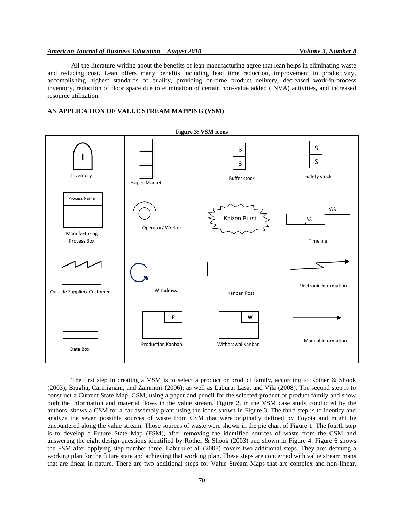## *American Journal of Business Education – August 2010 Volume 3, Number 8*

All the literature writing about the benefits of lean manufacturing agree that lean helps in eliminating waste and reducing cost. Lean offers many benefits including lead time reduction, improvement in productivity, accomplishing highest standards of quality, providing on-time product delivery, decreased work-in-process inventory, reduction of floor space due to elimination of certain non-value added ( NVA) activities, and increased resource utilization.

## **AN APPLICATION OF VALUE STREAM MAPPING (VSM)**



The first step in creating a VSM is to select a product or product family, according to Rother & Shook (2003); Braglia, Carmignani, and Zammori (2006); as well as Laburu, Lasa, and Vila (2008). The second step is to construct a Current State Map, CSM, using a paper and pencil for the selected product or product family and show both the information and material flows in the value stream. Figure 2, in the VSM case study conducted by the authors, shows a CSM for a car assembly plant using the icons shown in Figure 3. The third step is to identify and analyze the seven possible sources of waste from CSM that were originally defined by Toyota and might be encountered along the value stream. Those sources of waste were shown in the pie chart of Figure 1. The fourth step is to develop a Future State Map (FSM), after removing the identified sources of waste from the CSM and answering the eight design questions identified by Rother & Shook (2003) and shown in Figure 4. Figure 6 shows the FSM after applying step number three. Laburu et al. (2008) covers two additional steps. They are: defining a working plan for the future state and achieving that working plan. These steps are concerned with value stream maps that are linear in nature. There are two additional steps for Value Stream Maps that are complex and non-linear,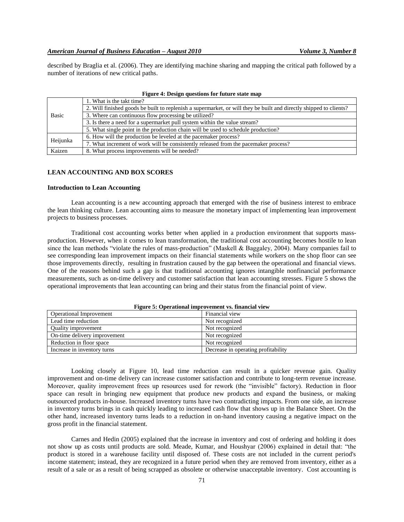described by Braglia et al. (2006). They are identifying machine sharing and mapping the critical path followed by a number of iterations of new critical paths.

| rigure 4: Design questions for future state map |                                                                                                                    |  |  |  |
|-------------------------------------------------|--------------------------------------------------------------------------------------------------------------------|--|--|--|
|                                                 | 1. What is the takt time?                                                                                          |  |  |  |
|                                                 | 2. Will finished goods be built to replenish a supermarket, or will they be built and directly shipped to clients? |  |  |  |
| Basic                                           | 3. Where can continuous flow processing be utilized?                                                               |  |  |  |
|                                                 | 3. Is there a need for a supermarket pull system within the value stream?                                          |  |  |  |
|                                                 | 5. What single point in the production chain will be used to schedule production?                                  |  |  |  |
| Heijunka                                        | 6. How will the production be leveled at the pacemaker process?                                                    |  |  |  |
|                                                 | 7. What increment of work will be consistently released from the pacemaker process?                                |  |  |  |
| Kaizen                                          | 8. What process improvements will be needed?                                                                       |  |  |  |

## **Figure 4: Design questions for future state map**

## **LEAN ACCOUNTING AND BOX SCORES**

## **Introduction to Lean Accounting**

Lean accounting is a new accounting approach that emerged with the rise of business interest to embrace the lean thinking culture. Lean accounting aims to measure the monetary impact of implementing lean improvement projects to business processes.

Traditional cost accounting works better when applied in a production environment that supports massproduction. However, when it comes to lean transformation, the traditional cost accounting becomes hostile to lean since the lean methods "violate the rules of mass-production" (Maskell & Baggaley, 2004). Many companies fail to see corresponding lean improvement impacts on their financial statements while workers on the shop floor can see those improvements directly, resulting in frustration caused by the gap between the operational and financial views. One of the reasons behind such a gap is that traditional accounting ignores intangible nonfinancial performance measurements, such as on-time delivery and customer satisfaction that lean accounting stresses. Figure 5 shows the operational improvements that lean accounting can bring and their status from the financial point of view.

| Operational Improvement      | Financial view                      |
|------------------------------|-------------------------------------|
| Lead time reduction          | Not recognized                      |
| Quality improvement          | Not recognized                      |
| On-time delivery improvement | Not recognized                      |
| Reduction in floor space     | Not recognized                      |
| Increase in inventory turns  | Decrease in operating profitability |

#### **Figure 5: Operational improvement vs. financial view**

Looking closely at Figure 10, lead time reduction can result in a quicker revenue gain. Quality improvement and on-time delivery can increase customer satisfaction and contribute to long-term revenue increase. Moreover, quality improvement frees up resources used for rework (the "invisible" factory). Reduction in floor space can result in bringing new equipment that produce new products and expand the business, or making outsourced products in-house. Increased inventory turns have two contradicting impacts. From one side, an increase in inventory turns brings in cash quickly leading to increased cash flow that shows up in the Balance Sheet. On the other hand, increased inventory turns leads to a reduction in on-hand inventory causing a negative impact on the gross profit in the financial statement.

Carnes and Hedin (2005) explained that the increase in inventory and cost of ordering and holding it does not show up as costs until products are sold. Meade, Kumar, and Houshyar (2006) explained in detail that: "the product is stored in a warehouse facility until disposed of. These costs are not included in the current period's income statement; instead, they are recognized in a future period when they are removed from inventory, either as a result of a sale or as a result of being scrapped as obsolete or otherwise unacceptable inventory. Cost accounting is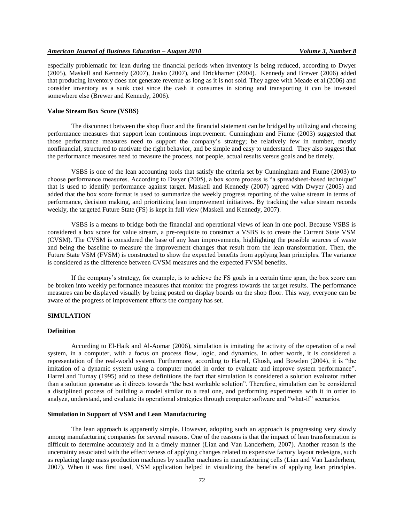especially problematic for lean during the financial periods when inventory is being reduced, according to Dwyer (2005), Maskell and Kennedy (2007), Jusko (2007), and Drickhamer (2004). Kennedy and Brewer (2006) added that producing inventory does not generate revenue as long as it is not sold. They agree with Meade et al.(2006) and consider inventory as a sunk cost since the cash it consumes in storing and transporting it can be invested somewhere else (Brewer and Kennedy, 2006).

#### **Value Stream Box Score (VSBS)**

The disconnect between the shop floor and the financial statement can be bridged by utilizing and choosing performance measures that support lean continuous improvement. Cunningham and Fiume (2003) suggested that those performance measures need to support the company's strategy; be relatively few in number, mostly nonfinancial, structured to motivate the right behavior, and be simple and easy to understand. They also suggest that the performance measures need to measure the process, not people, actual results versus goals and be timely.

VSBS is one of the lean accounting tools that satisfy the criteria set by Cunningham and Fiume (2003) to choose performance measures. According to Dwyer (2005), a box score process is "a spreadsheet-based technique" that is used to identify performance against target. Maskell and Kennedy (2007) agreed with Dwyer (2005) and added that the box score format is used to summarize the weekly progress reporting of the value stream in terms of performance, decision making, and prioritizing lean improvement initiatives. By tracking the value stream records weekly, the targeted Future State (FS) is kept in full view (Maskell and Kennedy, 2007).

VSBS is a means to bridge both the financial and operational views of lean in one pool. Because VSBS is considered a box score for value stream, a pre-requisite to construct a VSBS is to create the Current State VSM (CVSM). The CVSM is considered the base of any lean improvements, highlighting the possible sources of waste and being the baseline to measure the improvement changes that result from the lean transformation. Then, the Future State VSM (FVSM) is constructed to show the expected benefits from applying lean principles. The variance is considered as the difference between CVSM measures and the expected FVSM benefits.

If the company's strategy, for example, is to achieve the FS goals in a certain time span, the box score can be broken into weekly performance measures that monitor the progress towards the target results. The performance measures can be displayed visually by being posted on display boards on the shop floor. This way, everyone can be aware of the progress of improvement efforts the company has set.

# **SIMULATION**

## **Definition**

According to El-Haik and Al-Aomar (2006), simulation is imitating the activity of the operation of a real system, in a computer, with a focus on process flow, logic, and dynamics. In other words, it is considered a representation of the real-world system. Furthermore, according to Harrel, Ghosh, and Bowden (2004), it is "the imitation of a dynamic system using a computer model in order to evaluate and improve system performance". Harrel and Tumay (1995) add to these definitions the fact that simulation is considered a solution evaluator rather than a solution generator as it directs towards "the best workable solution". Therefore, simulation can be considered a disciplined process of building a model similar to a real one, and performing experiments with it in order to analyze, understand, and evaluate its operational strategies through computer software and "what-if" scenarios.

# **Simulation in Support of VSM and Lean Manufacturing**

The lean approach is apparently simple. However, adopting such an approach is progressing very slowly among manufacturing companies for several reasons. One of the reasons is that the impact of lean transformation is difficult to determine accurately and in a timely manner (Lian and Van Landerhem, 2007). Another reason is the uncertainty associated with the effectiveness of applying changes related to expensive factory layout redesigns, such as replacing large mass production machines by smaller machines in manufacturing cells (Lian and Van Landerhem, 2007). When it was first used, VSM application helped in visualizing the benefits of applying lean principles.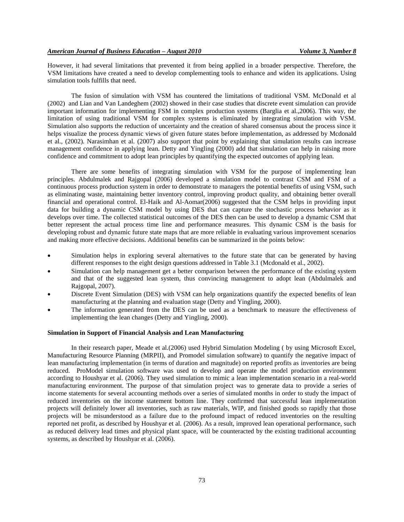However, it had several limitations that prevented it from being applied in a broader perspective. Therefore, the VSM limitations have created a need to develop complementing tools to enhance and widen its applications. Using simulation tools fulfills that need.

The fusion of simulation with VSM has countered the limitations of traditional VSM. McDonald et al (2002) and Lian and Van Landeghem (2002) showed in their case studies that discrete event simulation can provide important information for implementing FSM in complex production systems (Barglia et al.,2006). This way, the limitation of using traditional VSM for complex systems is eliminated by integrating simulation with VSM. Simulation also supports the reduction of uncertainty and the creation of shared consensus about the process since it helps visualize the process dynamic views of given future states before implementation, as addressed by Mcdonald et al., (2002). Narasimhan et al. (2007) also support that point by explaining that simulation results can increase management confidence in applying lean. Detty and Yingling (2000) add that simulation can help in raising more confidence and commitment to adopt lean principles by quantifying the expected outcomes of applying lean.

There are some benefits of integrating simulation with VSM for the purpose of implementing lean principles. Abdulmalek and Rajgopal (2006) developed a simulation model to contrast CSM and FSM of a continuous process production system in order to demonstrate to managers the potential benefits of using VSM, such as eliminating waste, maintaining better inventory control, improving product quality, and obtaining better overall financial and operational control. El-Haik and Al-Aomar(2006) suggested that the CSM helps in providing input data for building a dynamic CSM model by using DES that can capture the stochastic process behavior as it develops over time. The collected statistical outcomes of the DES then can be used to develop a dynamic CSM that better represent the actual process time line and performance measures. This dynamic CSM is the basis for developing robust and dynamic future state maps that are more reliable in evaluating various improvement scenarios and making more effective decisions. Additional benefits can be summarized in the points below:

- Simulation helps in exploring several alternatives to the future state that can be generated by having different responses to the eight design questions addressed in Table 3.1 (Mcdonald et al., 2002).
- Simulation can help management get a better comparison between the performance of the existing system and that of the suggested lean system, thus convincing management to adopt lean (Abdulmalek and Rajgopal, 2007).
- Discrete Event Simulation (DES) with VSM can help organizations quantify the expected benefits of lean manufacturing at the planning and evaluation stage (Detty and Yingling, 2000).
- The information generated from the DES can be used as a benchmark to measure the effectiveness of implementing the lean changes (Detty and Yingling, 2000).

## **Simulation in Support of Financial Analysis and Lean Manufacturing**

In their research paper, Meade et al.(2006) used Hybrid Simulation Modeling ( by using Microsoft Excel, Manufacturing Resource Planning (MRPII), and Promodel simulation software) to quantify the negative impact of lean manufacturing implementation (in terms of duration and magnitude) on reported profits as inventories are being reduced. ProModel simulation software was used to develop and operate the model production environment according to Houshyar et al. (2006). They used simulation to mimic a lean implementation scenario in a real-world manufacturing environment. The purpose of that simulation project was to generate data to provide a series of income statements for several accounting methods over a series of simulated months in order to study the impact of reduced inventories on the income statement bottom line. They confirmed that successful lean implementation projects will definitely lower all inventories, such as raw materials, WIP, and finished goods so rapidly that those projects will be misunderstood as a failure due to the profound impact of reduced inventories on the resulting reported net profit, as described by Houshyar et al. (2006). As a result, improved lean operational performance, such as reduced delivery lead times and physical plant space, will be counteracted by the existing traditional accounting systems, as described by Houshyar et al. (2006).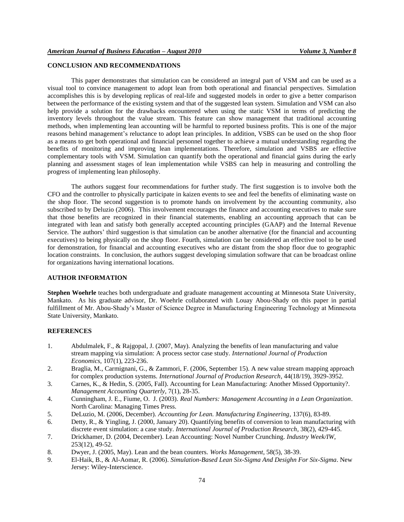# **CONCLUSION AND RECOMMENDATIONS**

This paper demonstrates that simulation can be considered an integral part of VSM and can be used as a visual tool to convince management to adopt lean from both operational and financial perspectives. Simulation accomplishes this is by developing replicas of real-life and suggested models in order to give a better comparison between the performance of the existing system and that of the suggested lean system. Simulation and VSM can also help provide a solution for the drawbacks encountered when using the static VSM in terms of predicting the inventory levels throughout the value stream. This feature can show management that traditional accounting methods, when implementing lean accounting will be harmful to reported business profits. This is one of the major reasons behind management's reluctance to adopt lean principles. In addition, VSBS can be used on the shop floor as a means to get both operational and financial personnel together to achieve a mutual understanding regarding the benefits of monitoring and improving lean implementations. Therefore, simulation and VSBS are effective complementary tools with VSM. Simulation can quantify both the operational and financial gains during the early planning and assessment stages of lean implementation while VSBS can help in measuring and controlling the progress of implementing lean philosophy.

The authors suggest four recommendations for further study. The first suggestion is to involve both the CFO and the controller to physically participate in kaizen events to see and feel the benefits of eliminating waste on the shop floor. The second suggestion is to promote hands on involvement by the accounting community, also subscribed to by Deluzio (2006). This involvement encourages the finance and accounting executives to make sure that those benefits are recognized in their financial statements, enabling an accounting approach that can be integrated with lean and satisfy both generally accepted accounting principles (GAAP) and the Internal Revenue Service. The authors' third suggestion is that simulation can be another alternative (for the financial and accounting executives) to being physically on the shop floor. Fourth, simulation can be considered an effective tool to be used for demonstration, for financial and accounting executives who are distant from the shop floor due to geographic location constraints. In conclusion, the authors suggest developing simulation software that can be broadcast online for organizations having international locations.

# **AUTHOR INFORMATION**

**Stephen Woehrle** teaches both undergraduate and graduate management accounting at Minnesota State University, Mankato. As his graduate advisor, Dr. Woehrle collaborated with Louay Abou-Shady on this paper in partial fulfillment of Mr. Abou-Shady's Master of Science Degree in Manufacturing Engineering Technology at Minnesota State University, Mankato.

## **REFERENCES**

- 1. Abdulmalek, F., & Rajgopal, J. (2007, May). Analyzing the benefits of lean manufacturing and value stream mapping via simulation: A process sector case study. *International Journal of Production Economics,* 107(1), 223-236.
- 2. Braglia, M., Carmignani, G., & Zammori, F. (2006, September 15). A new value stream mapping approach for complex production systems. *International Journal of Production Research*, 44(18/19), 3929-3952.
- 3. Carnes, K., & Hedin, S. (2005, Fall). Accounting for Lean Manufacturing: Another Missed Opportunity?. *Management Accounting Quarterly*, 7(1), 28-35.
- 4. Cunningham, J. E., Fiume, O. J. (2003). *Real Numbers: Management Accounting in a Lean Organization*. North Carolina: Managing Times Press.
- 5. DeLuzio, M. (2006, December). *Accounting for Lean. Manufacturing Engineering*, 137(6), 83-89.
- 6. Detty, R., & Yingling, J. (2000, January 20). Quantifying benefits of conversion to lean manufacturing with discrete event simulation: a case study. *International Journal of Production Research*, 38(2), 429-445.
- 7. Drickhamer, D. (2004, December). Lean Accounting: Novel Number Crunching. *Industry Week/IW*, 253(12), 49-52.
- 8. Dwyer, J. (2005, May). Lean and the bean counters. *Works Management*, 58(5), 38-39.
- 9. El-Haik, B., & Al-Aomar, R. (2006). *Simulation-Based Lean Six-Sigma And Desighn For Six-Sigma*. New Jersey: Wiley-Interscience.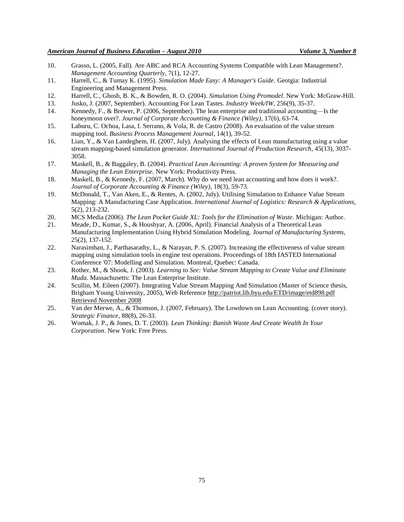- 10. Grasso, L. (2005, Fall). Are ABC and RCA Accounting Systems Compatible with Lean Management?. *Management Accounting Quarterly*, 7(1), 12-27.
- 11. Harrell, C., & Tumay K. (1995). *Simulation Made Easy: A Manager's Guide*. Geotgia: Industrial Engineering and Management Press.
- 12. Harrell, C., Ghosh, B. K., & Bowden, R. O. (2004). *Simulation Using Promodel*. New York: McGraw-Hill.
- 13. Jusko, J. (2007, September). Accounting For Lean Tastes. *Industry Week/IW*, 256(9), 35-37.
- 14. Kennedy, F., & Brewer, P. (2006, September). The lean enterprise and traditional accounting—Is the honeymoon over?. *Journal of Corporate Accounting & Finance (Wiley)*, 17(6), 63-74.
- 15. Laburu, C. Ochoa, Lasa, I. Serrano, & Vola, R. de Castro (2008). An evaluation of the value stream mapping tool. *Business Process Management Journal*, 14(1), 39-52.
- 16. Lian, Y., & Van Landeghem, H. (2007, July). Analysing the effects of Lean manufacturing using a value stream mapping-based simulation generator. *International Journal of Production Research,* 45(13), 3037- 3058.
- 17. Maskell, B., & Baggaley, B. (2004). *Practical Lean Accounting: A proven System for Measuring and Managing the Lean Enterprise.* New York: Productivity Press.
- 18. Maskell, B., & Kennedy, F. (2007, March). Why do we need lean accounting and how does it work?. *Journal of Corporate Accounting & Finance (Wiley)*, 18(3), 59-73.
- 19. McDonald, T., Van Aken, E., & Rentes, A. (2002, July). Utilising Simulation to Enhance Value Stream Mapping: A Manufacturing Case Application. *International Journal of Logistics: Research & Applications*, 5(2), 213-232.
- 20. MCS Media (2006). *The Lean Pocket Guide XL: Tools for the Elimination of Waste*. Michigan: Author.
- 21. Meade, D., Kumar, S., & Houshyar, A. (2006, April). Financial Analysis of a Theoretical Lean Manufacturing Implementation Using Hybrid Simulation Modeling. *Journal of Manufacturing Systems*, 25(2), 137-152.
- 22. Narasimhan, J., Parthasarathy, L., & Narayan, P. S. (2007). Increasing the effectiveness of value stream mapping using simulation tools in engine test operations. Proceedings of 18th IASTED International Conference '07: Modelling and Simulation. Montreal, Quebec: Canada.
- 23. Rother, M., & Shook, J. (2003). *Learning to See: Value Stream Mapping to Create Value and Eliminate Muda*. Massachusetts: The Lean Enterprise Institute.
- 24. Scullin, M. Eileen (2007). Integrating Value Stream Mapping And Simulation (Master of Science thesis, Brigham Young University, 2005), Web Reference [http://patriot.lib.byu.edu/ETD/image/etd898.pdf](http://patriot.lib.byu.edu/ETD/image/etd898.pdf%20Retrieved%20November%202008)  [Retrieved November 2008](http://patriot.lib.byu.edu/ETD/image/etd898.pdf%20Retrieved%20November%202008)
- 25. Van der Merwe, A., & Thomson, J. (2007, February). The Lowdown on Lean Accounting. (cover story). *Strategic Finance*, 88(8), 26-33.
- 26. Womak, J. P., & Jones, D. T. (2003). *Lean Thinking: Banish Waste And Create Wealth In Your Corporation*. New York: Free Press.